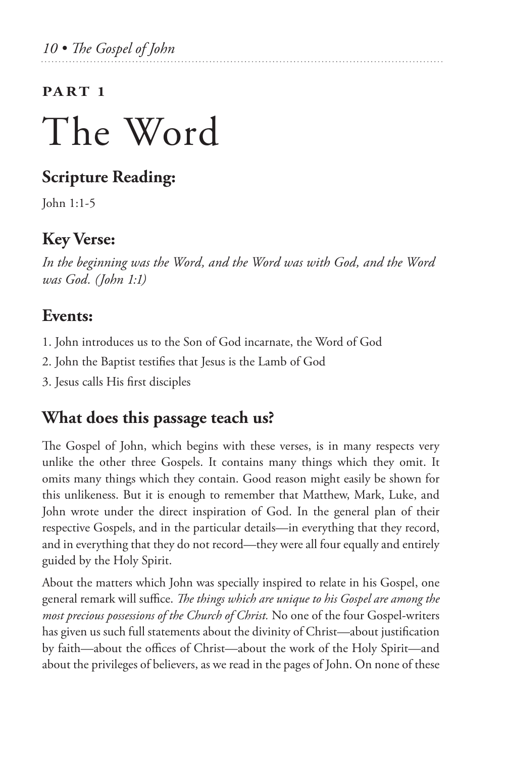# **PART 1**

# The Word

#### **Scripture Reading:**

John 1:1-5

# **Key Verse:**

*In the beginning was the Word, and the Word was with God, and the Word was God. (John 1:1)*

#### **Events:**

- 1. John introduces us to the Son of God incarnate, the Word of God
- 2. John the Baptist testifies that Jesus is the Lamb of God
- 3. Jesus calls His first disciples

#### **What does this passage teach us?**

The Gospel of John, which begins with these verses, is in many respects very unlike the other three Gospels. It contains many things which they omit. It omits many things which they contain. Good reason might easily be shown for this unlikeness. But it is enough to remember that Matthew, Mark, Luke, and John wrote under the direct inspiration of God. In the general plan of their respective Gospels, and in the particular details—in everything that they record, and in everything that they do not record—they were all four equally and entirely guided by the Holy Spirit.

About the matters which John was specially inspired to relate in his Gospel, one general remark will suffice. *The things which are unique to his Gospel are among the most precious possessions of the Church of Christ.* No one of the four Gospel-writers has given us such full statements about the divinity of Christ—about justification by faith—about the offices of Christ—about the work of the Holy Spirit—and about the privileges of believers, as we read in the pages of John. On none of these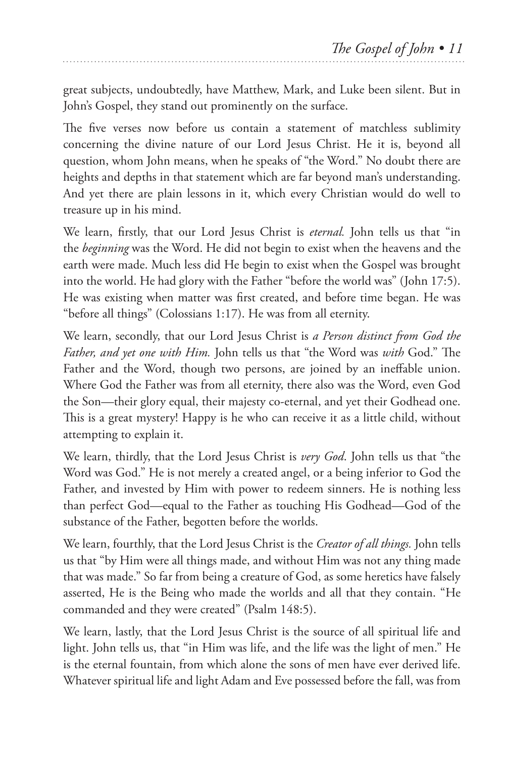great subjects, undoubtedly, have Matthew, Mark, and Luke been silent. But in John's Gospel, they stand out prominently on the surface.

The five verses now before us contain a statement of matchless sublimity concerning the divine nature of our Lord Jesus Christ. He it is, beyond all question, whom John means, when he speaks of "the Word." No doubt there are heights and depths in that statement which are far beyond man's understanding. And yet there are plain lessons in it, which every Christian would do well to treasure up in his mind.

We learn, firstly, that our Lord Jesus Christ is *eternal.* John tells us that "in the *beginning* was the Word. He did not begin to exist when the heavens and the earth were made. Much less did He begin to exist when the Gospel was brought into the world. He had glory with the Father "before the world was" (John 17:5). He was existing when matter was first created, and before time began. He was "before all things" (Colossians 1:17). He was from all eternity.

We learn, secondly, that our Lord Jesus Christ is *a Person distinct from God the Father, and yet one with Him.* John tells us that "the Word was *with* God." The Father and the Word, though two persons, are joined by an ineffable union. Where God the Father was from all eternity, there also was the Word, even God the Son—their glory equal, their majesty co-eternal, and yet their Godhead one. This is a great mystery! Happy is he who can receive it as a little child, without attempting to explain it.

We learn, thirdly, that the Lord Jesus Christ is *very God*. John tells us that "the Word was God." He is not merely a created angel, or a being inferior to God the Father, and invested by Him with power to redeem sinners. He is nothing less than perfect God—equal to the Father as touching His Godhead—God of the substance of the Father, begotten before the worlds.

We learn, fourthly, that the Lord Jesus Christ is the *Creator of all things.* John tells us that "by Him were all things made, and without Him was not any thing made that was made." So far from being a creature of God, as some heretics have falsely asserted, He is the Being who made the worlds and all that they contain. "He commanded and they were created" (Psalm 148:5).

We learn, lastly, that the Lord Jesus Christ is the source of all spiritual life and light. John tells us, that "in Him was life, and the life was the light of men." He is the eternal fountain, from which alone the sons of men have ever derived life. Whatever spiritual life and light Adam and Eve possessed before the fall, was from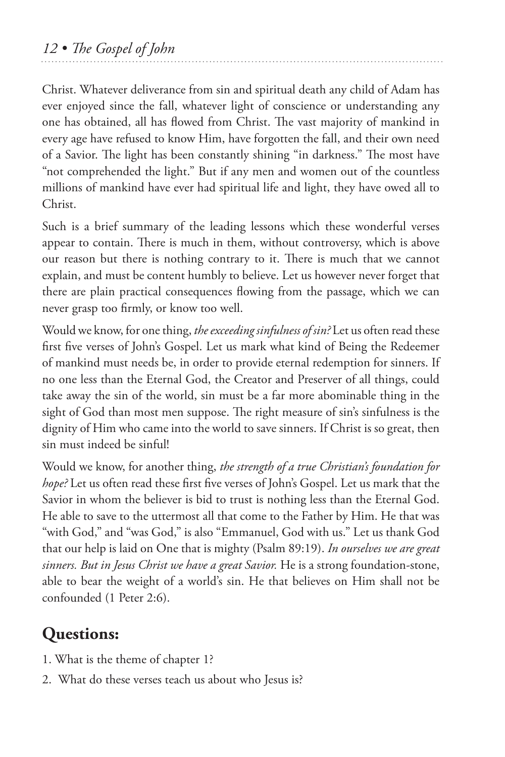Christ. Whatever deliverance from sin and spiritual death any child of Adam has ever enjoyed since the fall, whatever light of conscience or understanding any one has obtained, all has flowed from Christ. The vast majority of mankind in every age have refused to know Him, have forgotten the fall, and their own need of a Savior. The light has been constantly shining "in darkness." The most have "not comprehended the light." But if any men and women out of the countless millions of mankind have ever had spiritual life and light, they have owed all to Christ.

Such is a brief summary of the leading lessons which these wonderful verses appear to contain. There is much in them, without controversy, which is above our reason but there is nothing contrary to it. There is much that we cannot explain, and must be content humbly to believe. Let us however never forget that there are plain practical consequences flowing from the passage, which we can never grasp too firmly, or know too well.

Would we know, for one thing, *the exceeding sinfulness of sin?* Let us often read these first five verses of John's Gospel. Let us mark what kind of Being the Redeemer of mankind must needs be, in order to provide eternal redemption for sinners. If no one less than the Eternal God, the Creator and Preserver of all things, could take away the sin of the world, sin must be a far more abominable thing in the sight of God than most men suppose. The right measure of sin's sinfulness is the dignity of Him who came into the world to save sinners. If Christ is so great, then sin must indeed be sinful!

Would we know, for another thing, *the strength of a true Christian's foundation for hope?* Let us often read these first five verses of John's Gospel. Let us mark that the Savior in whom the believer is bid to trust is nothing less than the Eternal God. He able to save to the uttermost all that come to the Father by Him. He that was "with God," and "was God," is also "Emmanuel, God with us." Let us thank God that our help is laid on One that is mighty (Psalm 89:19). *In ourselves we are great sinners. But in Jesus Christ we have a great Savior.* He is a strong foundation-stone, able to bear the weight of a world's sin. He that believes on Him shall not be confounded (1 Peter 2:6).

# **Questions:**

- 1. What is the theme of chapter 1?
- 2. What do these verses teach us about who Jesus is?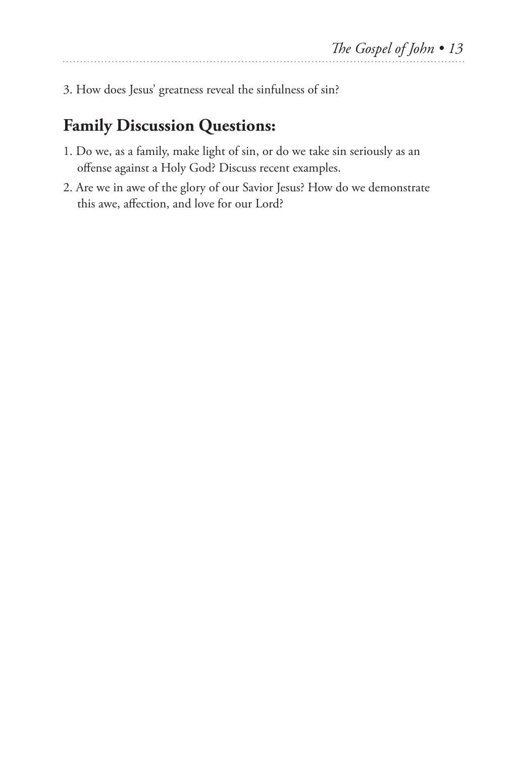3. How does Jesus' greatness reveal the sinfulness of sin?

#### **Family Discussion Questions:**

- 1. Do we, as a family, make light of sin, or do we take sin seriously as an offense against a Holy God? Discuss recent examples.
- 2. Are we in awe of the glory of our Savior Jesus? How do we demonstrate this awe, affection, and love for our Lord?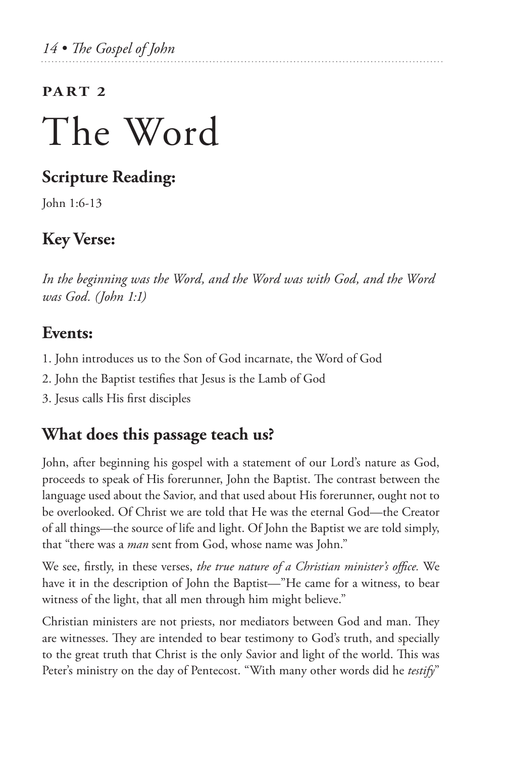# **PART 2** The Word

#### **Scripture Reading:**

John 1:6-13

# **Key Verse:**

*In the beginning was the Word, and the Word was with God, and the Word was God. (John 1:1)*

#### **Events:**

- 1. John introduces us to the Son of God incarnate, the Word of God
- 2. John the Baptist testifies that Jesus is the Lamb of God
- 3. Jesus calls His first disciples

# **What does this passage teach us?**

John, after beginning his gospel with a statement of our Lord's nature as God, proceeds to speak of His forerunner, John the Baptist. The contrast between the language used about the Savior, and that used about His forerunner, ought not to be overlooked. Of Christ we are told that He was the eternal God—the Creator of all things—the source of life and light. Of John the Baptist we are told simply, that "there was a *man* sent from God, whose name was John."

We see, firstly, in these verses, *the true nature of a Christian minister's office.* We have it in the description of John the Baptist—"He came for a witness, to bear witness of the light, that all men through him might believe."

Christian ministers are not priests, nor mediators between God and man. They are witnesses. They are intended to bear testimony to God's truth, and specially to the great truth that Christ is the only Savior and light of the world. This was Peter's ministry on the day of Pentecost. "With many other words did he *testify*"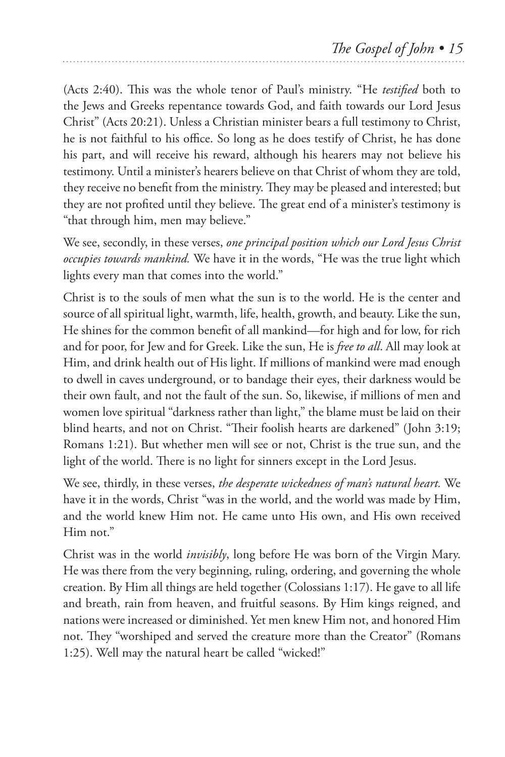(Acts 2:40). This was the whole tenor of Paul's ministry. "He *testified* both to the Jews and Greeks repentance towards God, and faith towards our Lord Jesus Christ" (Acts 20:21). Unless a Christian minister bears a full testimony to Christ, he is not faithful to his office. So long as he does testify of Christ, he has done his part, and will receive his reward, although his hearers may not believe his testimony. Until a minister's hearers believe on that Christ of whom they are told, they receive no benefit from the ministry. They may be pleased and interested; but they are not profited until they believe. The great end of a minister's testimony is "that through him, men may believe."

We see, secondly, in these verses, *one principal position which our Lord Jesus Christ occupies towards mankind.* We have it in the words, "He was the true light which lights every man that comes into the world."

Christ is to the souls of men what the sun is to the world. He is the center and source of all spiritual light, warmth, life, health, growth, and beauty. Like the sun, He shines for the common benefit of all mankind—for high and for low, for rich and for poor, for Jew and for Greek. Like the sun, He is *free to all*. All may look at Him, and drink health out of His light. If millions of mankind were mad enough to dwell in caves underground, or to bandage their eyes, their darkness would be their own fault, and not the fault of the sun. So, likewise, if millions of men and women love spiritual "darkness rather than light," the blame must be laid on their blind hearts, and not on Christ. "Their foolish hearts are darkened" (John 3:19; Romans 1:21). But whether men will see or not, Christ is the true sun, and the light of the world. There is no light for sinners except in the Lord Jesus.

We see, thirdly, in these verses, *the desperate wickedness of man's natural heart.* We have it in the words, Christ "was in the world, and the world was made by Him, and the world knew Him not. He came unto His own, and His own received Him not."

Christ was in the world *invisibly*, long before He was born of the Virgin Mary. He was there from the very beginning, ruling, ordering, and governing the whole creation. By Him all things are held together (Colossians 1:17). He gave to all life and breath, rain from heaven, and fruitful seasons. By Him kings reigned, and nations were increased or diminished. Yet men knew Him not, and honored Him not. They "worshiped and served the creature more than the Creator" (Romans 1:25). Well may the natural heart be called "wicked!"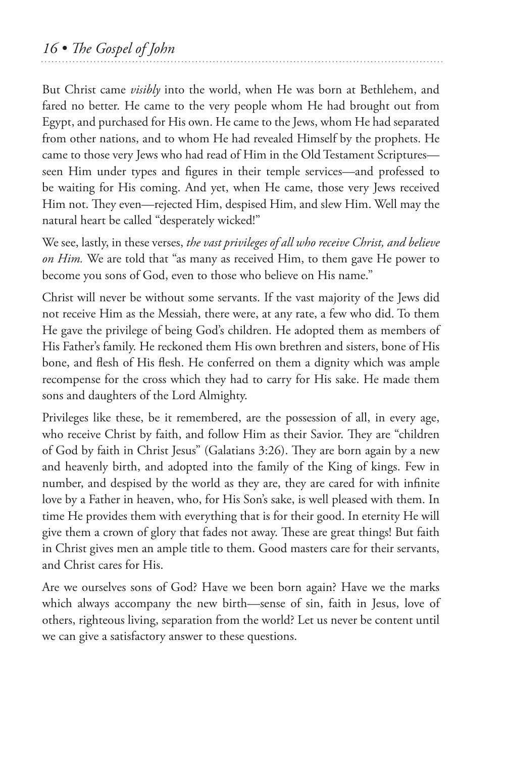But Christ came *visibly* into the world, when He was born at Bethlehem, and fared no better. He came to the very people whom He had brought out from Egypt, and purchased for His own. He came to the Jews, whom He had separated from other nations, and to whom He had revealed Himself by the prophets. He came to those very Jews who had read of Him in the Old Testament Scriptures seen Him under types and figures in their temple services—and professed to be waiting for His coming. And yet, when He came, those very Jews received Him not. They even—rejected Him, despised Him, and slew Him. Well may the natural heart be called "desperately wicked!"

We see, lastly, in these verses, *the vast privileges of all who receive Christ, and believe on Him.* We are told that "as many as received Him, to them gave He power to become you sons of God, even to those who believe on His name."

Christ will never be without some servants. If the vast majority of the Jews did not receive Him as the Messiah, there were, at any rate, a few who did. To them He gave the privilege of being God's children. He adopted them as members of His Father's family. He reckoned them His own brethren and sisters, bone of His bone, and flesh of His flesh. He conferred on them a dignity which was ample recompense for the cross which they had to carry for His sake. He made them sons and daughters of the Lord Almighty.

Privileges like these, be it remembered, are the possession of all, in every age, who receive Christ by faith, and follow Him as their Savior. They are "children of God by faith in Christ Jesus" (Galatians 3:26). They are born again by a new and heavenly birth, and adopted into the family of the King of kings. Few in number, and despised by the world as they are, they are cared for with infinite love by a Father in heaven, who, for His Son's sake, is well pleased with them. In time He provides them with everything that is for their good. In eternity He will give them a crown of glory that fades not away. These are great things! But faith in Christ gives men an ample title to them. Good masters care for their servants, and Christ cares for His.

Are we ourselves sons of God? Have we been born again? Have we the marks which always accompany the new birth—sense of sin, faith in Jesus, love of others, righteous living, separation from the world? Let us never be content until we can give a satisfactory answer to these questions.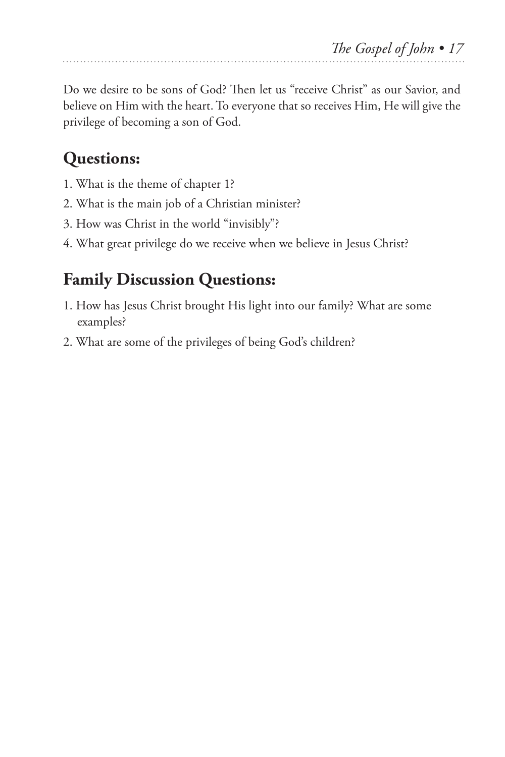Do we desire to be sons of God? Then let us "receive Christ" as our Savior, and believe on Him with the heart. To everyone that so receives Him, He will give the privilege of becoming a son of God.

## **Questions:**

- 1. What is the theme of chapter 1?
- 2. What is the main job of a Christian minister?
- 3. How was Christ in the world "invisibly"?
- 4. What great privilege do we receive when we believe in Jesus Christ?

# **Family Discussion Questions:**

- 1. How has Jesus Christ brought His light into our family? What are some examples?
- 2. What are some of the privileges of being God's children?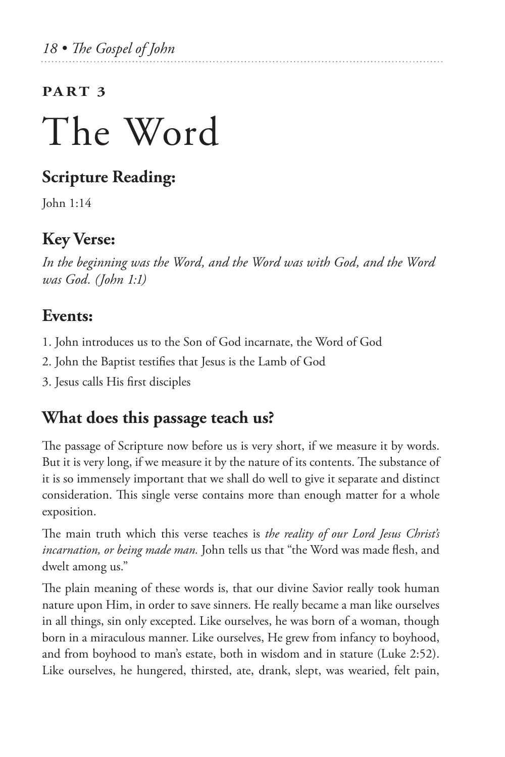# **PART 3** The Word

## **Scripture Reading:**

John 1:14

# **Key Verse:**

*In the beginning was the Word, and the Word was with God, and the Word was God. (John 1:1)*

#### **Events:**

- 1. John introduces us to the Son of God incarnate, the Word of God
- 2. John the Baptist testifies that Jesus is the Lamb of God
- 3. Jesus calls His first disciples

# **What does this passage teach us?**

The passage of Scripture now before us is very short, if we measure it by words. But it is very long, if we measure it by the nature of its contents. The substance of it is so immensely important that we shall do well to give it separate and distinct consideration. This single verse contains more than enough matter for a whole exposition.

The main truth which this verse teaches is *the reality of our Lord Jesus Christ's incarnation, or being made man.* John tells us that "the Word was made flesh, and dwelt among us."

The plain meaning of these words is, that our divine Savior really took human nature upon Him, in order to save sinners. He really became a man like ourselves in all things, sin only excepted. Like ourselves, he was born of a woman, though born in a miraculous manner. Like ourselves, He grew from infancy to boyhood, and from boyhood to man's estate, both in wisdom and in stature (Luke 2:52). Like ourselves, he hungered, thirsted, ate, drank, slept, was wearied, felt pain,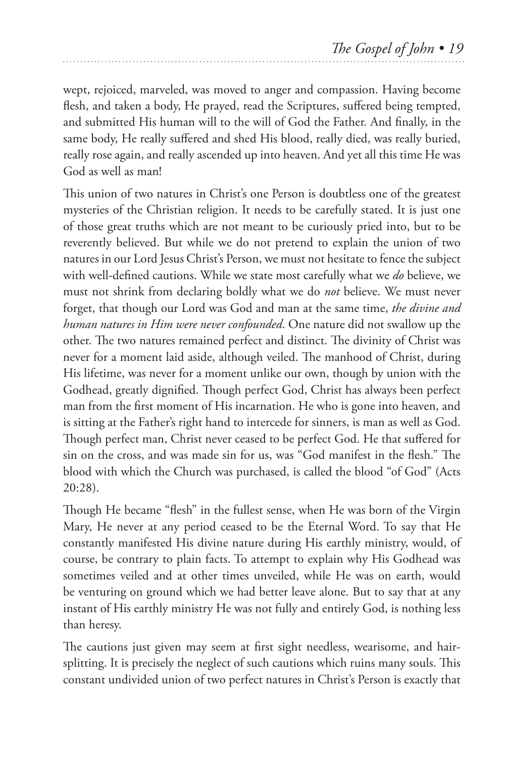wept, rejoiced, marveled, was moved to anger and compassion. Having become flesh, and taken a body, He prayed, read the Scriptures, suffered being tempted, and submitted His human will to the will of God the Father. And finally, in the same body, He really suffered and shed His blood, really died, was really buried, really rose again, and really ascended up into heaven. And yet all this time He was God as well as man!

This union of two natures in Christ's one Person is doubtless one of the greatest mysteries of the Christian religion. It needs to be carefully stated. It is just one of those great truths which are not meant to be curiously pried into, but to be reverently believed. But while we do not pretend to explain the union of two natures in our Lord Jesus Christ's Person, we must not hesitate to fence the subject with well-defined cautions. While we state most carefully what we *do* believe, we must not shrink from declaring boldly what we do *not* believe. We must never forget, that though our Lord was God and man at the same time, *the divine and human natures in Him were never confounded*. One nature did not swallow up the other. The two natures remained perfect and distinct. The divinity of Christ was never for a moment laid aside, although veiled. The manhood of Christ, during His lifetime, was never for a moment unlike our own, though by union with the Godhead, greatly dignified. Though perfect God, Christ has always been perfect man from the first moment of His incarnation. He who is gone into heaven, and is sitting at the Father's right hand to intercede for sinners, is man as well as God. Though perfect man, Christ never ceased to be perfect God. He that suffered for sin on the cross, and was made sin for us, was "God manifest in the flesh." The blood with which the Church was purchased, is called the blood "of God" (Acts 20:28).

Though He became "flesh" in the fullest sense, when He was born of the Virgin Mary, He never at any period ceased to be the Eternal Word. To say that He constantly manifested His divine nature during His earthly ministry, would, of course, be contrary to plain facts. To attempt to explain why His Godhead was sometimes veiled and at other times unveiled, while He was on earth, would be venturing on ground which we had better leave alone. But to say that at any instant of His earthly ministry He was not fully and entirely God, is nothing less than heresy.

The cautions just given may seem at first sight needless, wearisome, and hairsplitting. It is precisely the neglect of such cautions which ruins many souls. This constant undivided union of two perfect natures in Christ's Person is exactly that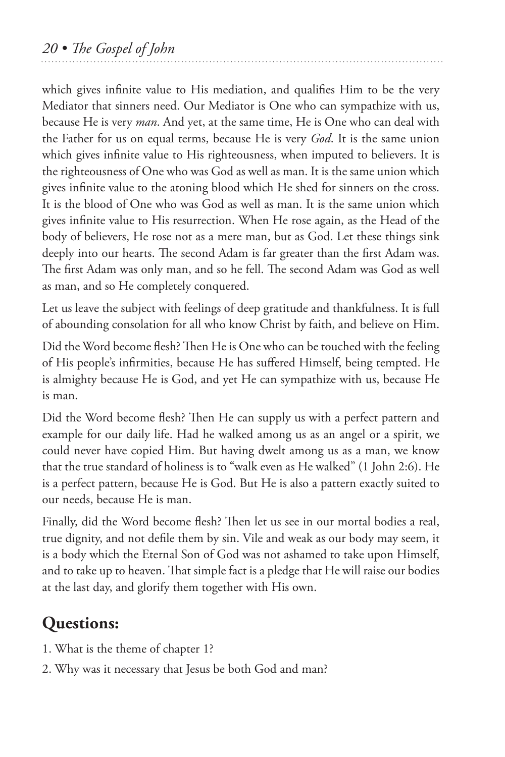which gives infinite value to His mediation, and qualifies Him to be the very Mediator that sinners need. Our Mediator is One who can sympathize with us, because He is very *man*. And yet, at the same time, He is One who can deal with the Father for us on equal terms, because He is very *God*. It is the same union which gives infinite value to His righteousness, when imputed to believers. It is the righteousness of One who was God as well as man. It is the same union which gives infinite value to the atoning blood which He shed for sinners on the cross. It is the blood of One who was God as well as man. It is the same union which gives infinite value to His resurrection. When He rose again, as the Head of the body of believers, He rose not as a mere man, but as God. Let these things sink deeply into our hearts. The second Adam is far greater than the first Adam was. The first Adam was only man, and so he fell. The second Adam was God as well as man, and so He completely conquered.

Let us leave the subject with feelings of deep gratitude and thankfulness. It is full of abounding consolation for all who know Christ by faith, and believe on Him.

Did the Word become flesh? Then He is One who can be touched with the feeling of His people's infirmities, because He has suffered Himself, being tempted. He is almighty because He is God, and yet He can sympathize with us, because He is man.

Did the Word become flesh? Then He can supply us with a perfect pattern and example for our daily life. Had he walked among us as an angel or a spirit, we could never have copied Him. But having dwelt among us as a man, we know that the true standard of holiness is to "walk even as He walked" (1 John 2:6). He is a perfect pattern, because He is God. But He is also a pattern exactly suited to our needs, because He is man.

Finally, did the Word become flesh? Then let us see in our mortal bodies a real, true dignity, and not defile them by sin. Vile and weak as our body may seem, it is a body which the Eternal Son of God was not ashamed to take upon Himself, and to take up to heaven. That simple fact is a pledge that He will raise our bodies at the last day, and glorify them together with His own.

#### **Questions:**

- 1. What is the theme of chapter 1?
- 2. Why was it necessary that Jesus be both God and man?